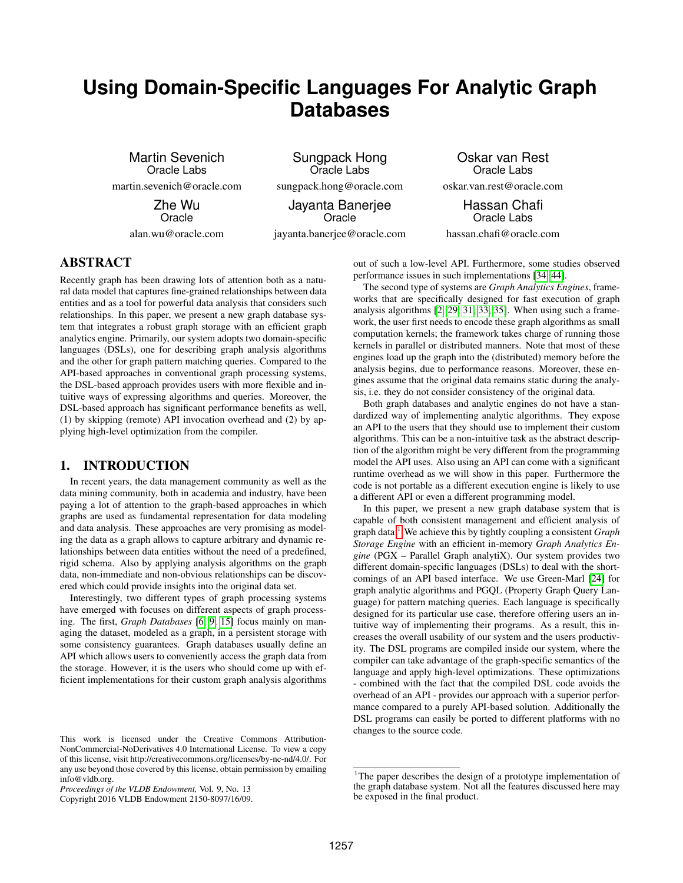# **Using Domain-Specific Languages For Analytic Graph Databases**

Martin Sevenich Oracle Labs

martin.sevenich@oracle.com

Zhe Wu Oracle

alan.wu@oracle.com

Sungpack Hong Oracle Labs sungpack.hong@oracle.com

Jayanta Banerjee **Oracle** 

jayanta.banerjee@oracle.com

Oskar van Rest Oracle Labs oskar.van.rest@oracle.com

Hassan Chafi Oracle Labs hassan.chafi@oracle.com

### ABSTRACT

Recently graph has been drawing lots of attention both as a natural data model that captures fine-grained relationships between data entities and as a tool for powerful data analysis that considers such relationships. In this paper, we present a new graph database system that integrates a robust graph storage with an efficient graph analytics engine. Primarily, our system adopts two domain-specific languages (DSLs), one for describing graph analysis algorithms and the other for graph pattern matching queries. Compared to the API-based approaches in conventional graph processing systems, the DSL-based approach provides users with more flexible and intuitive ways of expressing algorithms and queries. Moreover, the DSL-based approach has significant performance benefits as well, (1) by skipping (remote) API invocation overhead and (2) by applying high-level optimization from the compiler.

# 1. INTRODUCTION

In recent years, the data management community as well as the data mining community, both in academia and industry, have been paying a lot of attention to the graph-based approaches in which graphs are used as fundamental representation for data modeling and data analysis. These approaches are very promising as modeling the data as a graph allows to capture arbitrary and dynamic relationships between data entities without the need of a predefined, rigid schema. Also by applying analysis algorithms on the graph data, non-immediate and non-obvious relationships can be discovered which could provide insights into the original data set.

Interestingly, two different types of graph processing systems have emerged with focuses on different aspects of graph processing. The first, *Graph Databases* [\[6,](#page-10-0) [9,](#page-10-1) [15\]](#page-11-0) focus mainly on managing the dataset, modeled as a graph, in a persistent storage with some consistency guarantees. Graph databases usually define an API which allows users to conveniently access the graph data from the storage. However, it is the users who should come up with efficient implementations for their custom graph analysis algorithms

Copyright 2016 VLDB Endowment 2150-8097/16/09.

out of such a low-level API. Furthermore, some studies observed performance issues in such implementations [\[34,](#page-11-1) [44\]](#page-11-2).

The second type of systems are *Graph Analytics Engines*, frameworks that are specifically designed for fast execution of graph analysis algorithms [\[2,](#page-10-2) [29,](#page-11-3) [31,](#page-11-4) [33,](#page-11-5) [35\]](#page-11-6). When using such a framework, the user first needs to encode these graph algorithms as small computation kernels; the framework takes charge of running those kernels in parallel or distributed manners. Note that most of these engines load up the graph into the (distributed) memory before the analysis begins, due to performance reasons. Moreover, these engines assume that the original data remains static during the analysis, i.e. they do not consider consistency of the original data.

Both graph databases and analytic engines do not have a standardized way of implementing analytic algorithms. They expose an API to the users that they should use to implement their custom algorithms. This can be a non-intuitive task as the abstract description of the algorithm might be very different from the programming model the API uses. Also using an API can come with a significant runtime overhead as we will show in this paper. Furthermore the code is not portable as a different execution engine is likely to use a different API or even a different programming model.

In this paper, we present a new graph database system that is capable of both consistent management and efficient analysis of graph data.[1](#page-0-0) We achieve this by tightly coupling a consistent *Graph Storage Engine* with an efficient in-memory *Graph Analytics Engine* (PGX – Parallel Graph analytiX). Our system provides two different domain-specific languages (DSLs) to deal with the shortcomings of an API based interface. We use Green-Marl [\[24\]](#page-11-7) for graph analytic algorithms and PGQL (Property Graph Query Language) for pattern matching queries. Each language is specifically designed for its particular use case, therefore offering users an intuitive way of implementing their programs. As a result, this increases the overall usability of our system and the users productivity. The DSL programs are compiled inside our system, where the compiler can take advantage of the graph-specific semantics of the language and apply high-level optimizations. These optimizations - combined with the fact that the compiled DSL code avoids the overhead of an API - provides our approach with a superior performance compared to a purely API-based solution. Additionally the DSL programs can easily be ported to different platforms with no changes to the source code.

This work is licensed under the Creative Commons Attribution-NonCommercial-NoDerivatives 4.0 International License. To view a copy of this license, visit http://creativecommons.org/licenses/by-nc-nd/4.0/. For any use beyond those covered by this license, obtain permission by emailing info@vldb.org.

*Proceedings of the VLDB Endowment,* Vol. 9, No. 13

<span id="page-0-0"></span><sup>&</sup>lt;sup>1</sup>The paper describes the design of a prototype implementation of the graph database system. Not all the features discussed here may be exposed in the final product.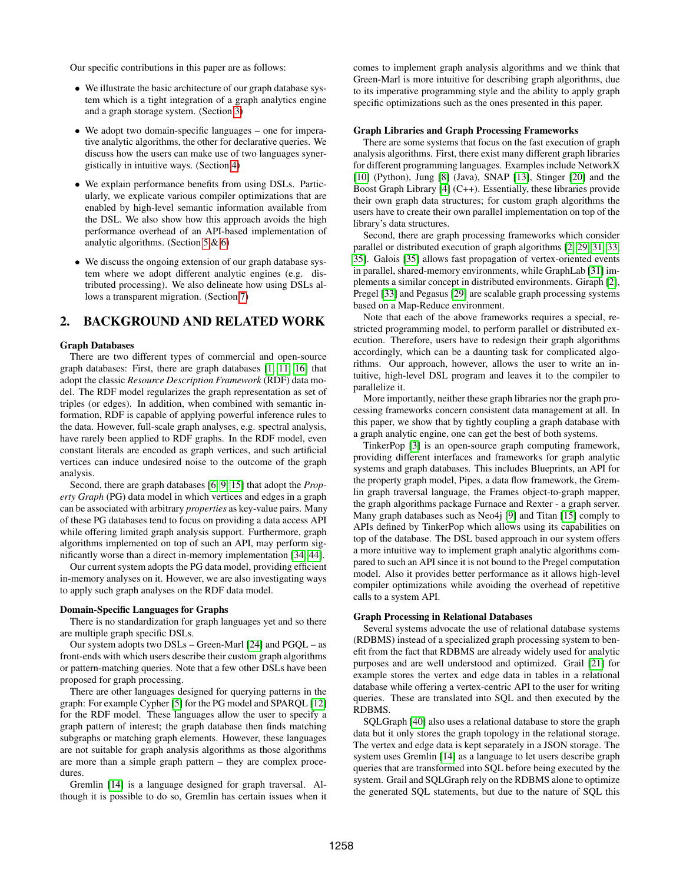Our specific contributions in this paper are as follows:

- We illustrate the basic architecture of our graph database system which is a tight integration of a graph analytics engine and a graph storage system. (Section [3\)](#page-2-0)
- We adopt two domain-specific languages one for imperative analytic algorithms, the other for declarative queries. We discuss how the users can make use of two languages synergistically in intuitive ways. (Section [4\)](#page-3-0)
- We explain performance benefits from using DSLs. Particularly, we explicate various compiler optimizations that are enabled by high-level semantic information available from the DSL. We also show how this approach avoids the high performance overhead of an API-based implementation of analytic algorithms. (Section [5](#page-4-0) & [6\)](#page-8-0)
- We discuss the ongoing extension of our graph database system where we adopt different analytic engines (e.g. distributed processing). We also delineate how using DSLs allows a transparent migration. (Section [7\)](#page-9-0)

# 2. BACKGROUND AND RELATED WORK

#### Graph Databases

There are two different types of commercial and open-source graph databases: First, there are graph databases [\[1,](#page-10-3) [11,](#page-10-4) [16\]](#page-11-8) that adopt the classic *Resource Description Framework* (RDF) data model. The RDF model regularizes the graph representation as set of triples (or edges). In addition, when combined with semantic information, RDF is capable of applying powerful inference rules to the data. However, full-scale graph analyses, e.g. spectral analysis, have rarely been applied to RDF graphs. In the RDF model, even constant literals are encoded as graph vertices, and such artificial vertices can induce undesired noise to the outcome of the graph analysis.

Second, there are graph databases [\[6,](#page-10-0) [9,](#page-10-1) [15\]](#page-11-0) that adopt the *Property Graph* (PG) data model in which vertices and edges in a graph can be associated with arbitrary *properties* as key-value pairs. Many of these PG databases tend to focus on providing a data access API while offering limited graph analysis support. Furthermore, graph algorithms implemented on top of such an API, may perform significantly worse than a direct in-memory implementation [\[34,](#page-11-1) [44\]](#page-11-2).

Our current system adopts the PG data model, providing efficient in-memory analyses on it. However, we are also investigating ways to apply such graph analyses on the RDF data model.

#### Domain-Specific Languages for Graphs

There is no standardization for graph languages yet and so there are multiple graph specific DSLs.

Our system adopts two DSLs – Green-Marl [\[24\]](#page-11-7) and PGQL – as front-ends with which users describe their custom graph algorithms or pattern-matching queries. Note that a few other DSLs have been proposed for graph processing.

There are other languages designed for querying patterns in the graph: For example Cypher [\[5\]](#page-10-5) for the PG model and SPARQL [\[12\]](#page-10-6) for the RDF model. These languages allow the user to specify a graph pattern of interest; the graph database then finds matching subgraphs or matching graph elements. However, these languages are not suitable for graph analysis algorithms as those algorithms are more than a simple graph pattern – they are complex procedures.

Gremlin [\[14\]](#page-10-7) is a language designed for graph traversal. Although it is possible to do so, Gremlin has certain issues when it comes to implement graph analysis algorithms and we think that Green-Marl is more intuitive for describing graph algorithms, due to its imperative programming style and the ability to apply graph specific optimizations such as the ones presented in this paper.

#### Graph Libraries and Graph Processing Frameworks

There are some systems that focus on the fast execution of graph analysis algorithms. First, there exist many different graph libraries for different programming languages. Examples include NetworkX [\[10\]](#page-10-8) (Python), Jung [\[8\]](#page-10-9) (Java), SNAP [\[13\]](#page-10-10), Stinger [\[20\]](#page-11-9) and the Boost Graph Library [\[4\]](#page-10-11) (C++). Essentially, these libraries provide their own graph data structures; for custom graph algorithms the users have to create their own parallel implementation on top of the library's data structures.

Second, there are graph processing frameworks which consider parallel or distributed execution of graph algorithms [\[2,](#page-10-2) [29,](#page-11-3) [31,](#page-11-4) [33,](#page-11-5) [35\]](#page-11-6). Galois [\[35\]](#page-11-6) allows fast propagation of vertex-oriented events in parallel, shared-memory environments, while GraphLab [\[31\]](#page-11-4) implements a similar concept in distributed environments. Giraph [\[2\]](#page-10-2), Pregel [\[33\]](#page-11-5) and Pegasus [\[29\]](#page-11-3) are scalable graph processing systems based on a Map-Reduce environment.

Note that each of the above frameworks requires a special, restricted programming model, to perform parallel or distributed execution. Therefore, users have to redesign their graph algorithms accordingly, which can be a daunting task for complicated algorithms. Our approach, however, allows the user to write an intuitive, high-level DSL program and leaves it to the compiler to parallelize it.

More importantly, neither these graph libraries nor the graph processing frameworks concern consistent data management at all. In this paper, we show that by tightly coupling a graph database with a graph analytic engine, one can get the best of both systems.

TinkerPop [\[3\]](#page-10-12) is an open-source graph computing framework, providing different interfaces and frameworks for graph analytic systems and graph databases. This includes Blueprints, an API for the property graph model, Pipes, a data flow framework, the Gremlin graph traversal language, the Frames object-to-graph mapper, the graph algorithms package Furnace and Rexter - a graph server. Many graph databases such as Neo4j [\[9\]](#page-10-1) and Titan [\[15\]](#page-11-0) comply to APIs defined by TinkerPop which allows using its capabilities on top of the database. The DSL based approach in our system offers a more intuitive way to implement graph analytic algorithms compared to such an API since it is not bound to the Pregel computation model. Also it provides better performance as it allows high-level compiler optimizations while avoiding the overhead of repetitive calls to a system API.

#### Graph Processing in Relational Databases

Several systems advocate the use of relational database systems (RDBMS) instead of a specialized graph processing system to benefit from the fact that RDBMS are already widely used for analytic purposes and are well understood and optimized. Grail [\[21\]](#page-11-10) for example stores the vertex and edge data in tables in a relational database while offering a vertex-centric API to the user for writing queries. These are translated into SQL and then executed by the RDBMS.

SQLGraph [\[40\]](#page-11-11) also uses a relational database to store the graph data but it only stores the graph topology in the relational storage. The vertex and edge data is kept separately in a JSON storage. The system uses Gremlin [\[14\]](#page-10-7) as a language to let users describe graph queries that are transformed into SQL before being executed by the system. Grail and SQLGraph rely on the RDBMS alone to optimize the generated SQL statements, but due to the nature of SQL this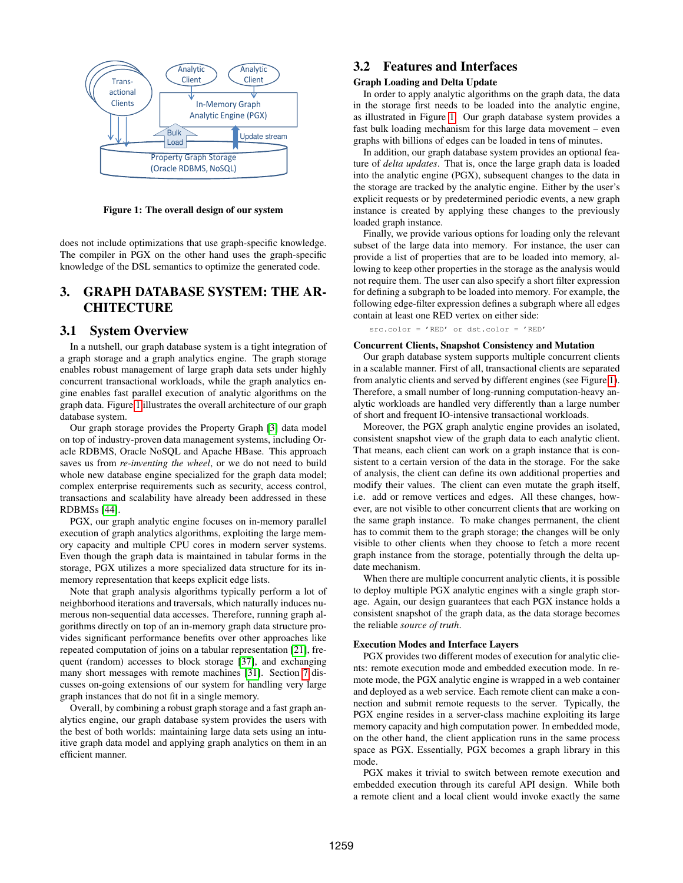

<span id="page-2-1"></span>Figure 1: The overall design of our system

does not include optimizations that use graph-specific knowledge. The compiler in PGX on the other hand uses the graph-specific knowledge of the DSL semantics to optimize the generated code.

## <span id="page-2-0"></span>3. GRAPH DATABASE SYSTEM: THE AR-**CHITECTURE**

### 3.1 System Overview

In a nutshell, our graph database system is a tight integration of a graph storage and a graph analytics engine. The graph storage enables robust management of large graph data sets under highly concurrent transactional workloads, while the graph analytics engine enables fast parallel execution of analytic algorithms on the graph data. Figure [1](#page-2-1) illustrates the overall architecture of our graph database system.

Our graph storage provides the Property Graph [\[3\]](#page-10-12) data model on top of industry-proven data management systems, including Oracle RDBMS, Oracle NoSQL and Apache HBase. This approach saves us from *re-inventing the wheel*, or we do not need to build whole new database engine specialized for the graph data model; complex enterprise requirements such as security, access control, transactions and scalability have already been addressed in these RDBMSs [\[44\]](#page-11-2).

PGX, our graph analytic engine focuses on in-memory parallel execution of graph analytics algorithms, exploiting the large memory capacity and multiple CPU cores in modern server systems. Even though the graph data is maintained in tabular forms in the storage, PGX utilizes a more specialized data structure for its inmemory representation that keeps explicit edge lists.

Note that graph analysis algorithms typically perform a lot of neighborhood iterations and traversals, which naturally induces numerous non-sequential data accesses. Therefore, running graph algorithms directly on top of an in-memory graph data structure provides significant performance benefits over other approaches like repeated computation of joins on a tabular representation [\[21\]](#page-11-10), frequent (random) accesses to block storage [\[37\]](#page-11-12), and exchanging many short messages with remote machines [\[31\]](#page-11-4). Section [7](#page-9-0) discusses on-going extensions of our system for handling very large graph instances that do not fit in a single memory.

Overall, by combining a robust graph storage and a fast graph analytics engine, our graph database system provides the users with the best of both worlds: maintaining large data sets using an intuitive graph data model and applying graph analytics on them in an efficient manner.

# <span id="page-2-2"></span>3.2 Features and Interfaces

#### Graph Loading and Delta Update

In order to apply analytic algorithms on the graph data, the data in the storage first needs to be loaded into the analytic engine, as illustrated in Figure [1.](#page-2-1) Our graph database system provides a fast bulk loading mechanism for this large data movement – even graphs with billions of edges can be loaded in tens of minutes.

In addition, our graph database system provides an optional feature of *delta updates*. That is, once the large graph data is loaded into the analytic engine (PGX), subsequent changes to the data in the storage are tracked by the analytic engine. Either by the user's explicit requests or by predetermined periodic events, a new graph instance is created by applying these changes to the previously loaded graph instance.

Finally, we provide various options for loading only the relevant subset of the large data into memory. For instance, the user can provide a list of properties that are to be loaded into memory, allowing to keep other properties in the storage as the analysis would not require them. The user can also specify a short filter expression for defining a subgraph to be loaded into memory. For example, the following edge-filter expression defines a subgraph where all edges contain at least one RED vertex on either side:

src.color = 'RED' or dst.color = 'RED'

#### Concurrent Clients, Snapshot Consistency and Mutation

Our graph database system supports multiple concurrent clients in a scalable manner. First of all, transactional clients are separated from analytic clients and served by different engines (see Figure [1\)](#page-2-1). Therefore, a small number of long-running computation-heavy analytic workloads are handled very differently than a large number of short and frequent IO-intensive transactional workloads.

Moreover, the PGX graph analytic engine provides an isolated, consistent snapshot view of the graph data to each analytic client. That means, each client can work on a graph instance that is consistent to a certain version of the data in the storage. For the sake of analysis, the client can define its own additional properties and modify their values. The client can even mutate the graph itself, i.e. add or remove vertices and edges. All these changes, however, are not visible to other concurrent clients that are working on the same graph instance. To make changes permanent, the client has to commit them to the graph storage; the changes will be only visible to other clients when they choose to fetch a more recent graph instance from the storage, potentially through the delta update mechanism.

When there are multiple concurrent analytic clients, it is possible to deploy multiple PGX analytic engines with a single graph storage. Again, our design guarantees that each PGX instance holds a consistent snapshot of the graph data, as the data storage becomes the reliable *source of truth*.

#### Execution Modes and Interface Layers

PGX provides two different modes of execution for analytic clients: remote execution mode and embedded execution mode. In remote mode, the PGX analytic engine is wrapped in a web container and deployed as a web service. Each remote client can make a connection and submit remote requests to the server. Typically, the PGX engine resides in a server-class machine exploiting its large memory capacity and high computation power. In embedded mode, on the other hand, the client application runs in the same process space as PGX. Essentially, PGX becomes a graph library in this mode.

PGX makes it trivial to switch between remote execution and embedded execution through its careful API design. While both a remote client and a local client would invoke exactly the same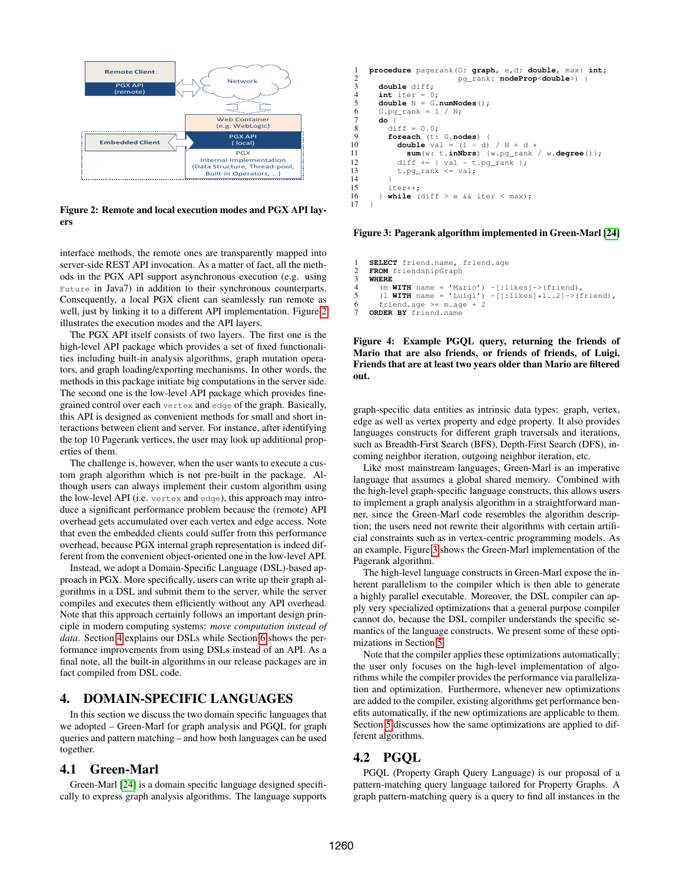

<span id="page-3-1"></span>Figure 2: Remote and local execution modes and PGX API layers

interface methods, the remote ones are transparently mapped into server-side REST API invocation. As a matter of fact, all the methods in the PGX API support asynchronous execution (e.g. using Future in Java7) in addition to their synchronous counterparts. Consequently, a local PGX client can seamlessly run remote as well, just by linking it to a different API implementation. Figure [2](#page-3-1) illustrates the execution modes and the API layers.

The PGX API itself consists of two layers. The first one is the high-level API package which provides a set of fixed functionalities including built-in analysis algorithms, graph mutation operators, and graph loading/exporting mechanisms. In other words, the methods in this package initiate big computations in the server side. The second one is the low-level API package which provides finegrained control over each vertex and edge of the graph. Basically, this API is designed as convenient methods for small and short interactions between client and server. For instance, after identifying the top 10 Pagerank vertices, the user may look up additional properties of them.

The challenge is, however, when the user wants to execute a custom graph algorithm which is not pre-built in the package. Although users can always implement their custom algorithm using the low-level API (i.e. vertex and edge), this approach may introduce a significant performance problem because the (remote) API overhead gets accumulated over each vertex and edge access. Note that even the embedded clients could suffer from this performance overhead, because PGX internal graph representation is indeed different from the convenient object-oriented one in the low-level API.

Instead, we adopt a Domain-Specific Language (DSL)-based approach in PGX. More specifically, users can write up their graph algorithms in a DSL and submit them to the server, while the server compiles and executes them efficiently without any API overhead. Note that this approach certainly follows an important design principle in modern computing systems: *move computation instead of data*. Section [4](#page-3-0) explains our DSLs while Section [6](#page-8-0) shows the performance improvements from using DSLs instead of an API. As a final note, all the built-in algorithms in our release packages are in fact compiled from DSL code.

# <span id="page-3-0"></span>4. DOMAIN-SPECIFIC LANGUAGES

In this section we discuss the two domain specific languages that we adopted – Green-Marl for graph analysis and PGQL for graph queries and pattern matching – and how both languages can be used together.

### 4.1 Green-Marl

Green-Marl [\[24\]](#page-11-7) is a domain specific language designed specifically to express graph analysis algorithms. The language supports

```
1 procedure pagerank(G: graph, e,d: double, max: int;
                               2 pg_rank: nodeProp<double>) {
        3 double diff;
4 int iter = 0;<br>5 double N = G.
 5 double N = G.numNodes();<br>6 G.pg_rank = 1 / N;
 6 G.pg_rank = 1 / N;
 \frac{7}{8} do
 8 diff = 0.0;<br>9 foreach (t;
9 foreach (t: G.nodes) {<br>10 double val = (1 - d)10 double val = (1 - d) / N + d *<br>11 sum (w: t.inNbrs) {w.pg rank
                11 sum(w: t.inNbrs) {w.pg_rank / w.degree()};
12 diff += | val - t.pg_rank |;<br>13 t.pg rank \le val;
              t.pg\_rank \leq val;\frac{14}{15}15 iter++;<br>16 \frac{1}{2} while
        16 } while (diff > e && iter < max);
17 }
```
<span id="page-3-2"></span>Figure 3: Pagerank algorithm implemented in Green-Marl [\[24\]](#page-11-7)

```
1 SELECT friend.name, friend.age<br>2 FROM friendshipGraph
2 FROM friendshipGraph
\frac{3}{4} WHERE
4 (m WITH name = 'Mario') -[:likes]->(friend),<br>5 (1 WITH name = 'Luigi') -[[:likes]*1, 21->()
5 (l WITH name = 'Luigi') -[[:likes]*1..2]->(friend),
       friend.age >= m.age + 27 ORDER BY friend.name
```
<span id="page-3-3"></span>Figure 4: Example PGQL query, returning the friends of Mario that are also friends, or friends of friends, of Luigi. Friends that are at least two years older than Mario are filtered out.

graph-specific data entities as intrinsic data types: graph, vertex, edge as well as vertex property and edge property. It also provides languages constructs for different graph traversals and iterations, such as Breadth-First Search (BFS), Depth-First Search (DFS), incoming neighbor iteration, outgoing neighbor iteration, etc.

Like most mainstream languages, Green-Marl is an imperative language that assumes a global shared memory. Combined with the high-level graph-specific language constructs, this allows users to implement a graph analysis algorithm in a straightforward manner, since the Green-Marl code resembles the algorithm description; the users need not rewrite their algorithms with certain artificial constraints such as in vertex-centric programming models. As an example, Figure [3](#page-3-2) shows the Green-Marl implementation of the Pagerank algorithm.

The high-level language constructs in Green-Marl expose the inherent parallelism to the compiler which is then able to generate a highly parallel executable. Moreover, the DSL compiler can apply very specialized optimizations that a general purpose compiler cannot do, because the DSL compiler understands the specific semantics of the language constructs. We present some of these optimizations in Section [5.](#page-4-0)

Note that the compiler applies these optimizations automatically; the user only focuses on the high-level implementation of algorithms while the compiler provides the performance via parallelization and optimization. Furthermore, whenever new optimizations are added to the compiler, existing algorithms get performance benefits automatically, if the new optimizations are applicable to them. Section [5](#page-4-0) discusses how the same optimizations are applied to different algorithms.

# 4.2 PGQL

PGQL (Property Graph Query Language) is our proposal of a pattern-matching query language tailored for Property Graphs. A graph pattern-matching query is a query to find all instances in the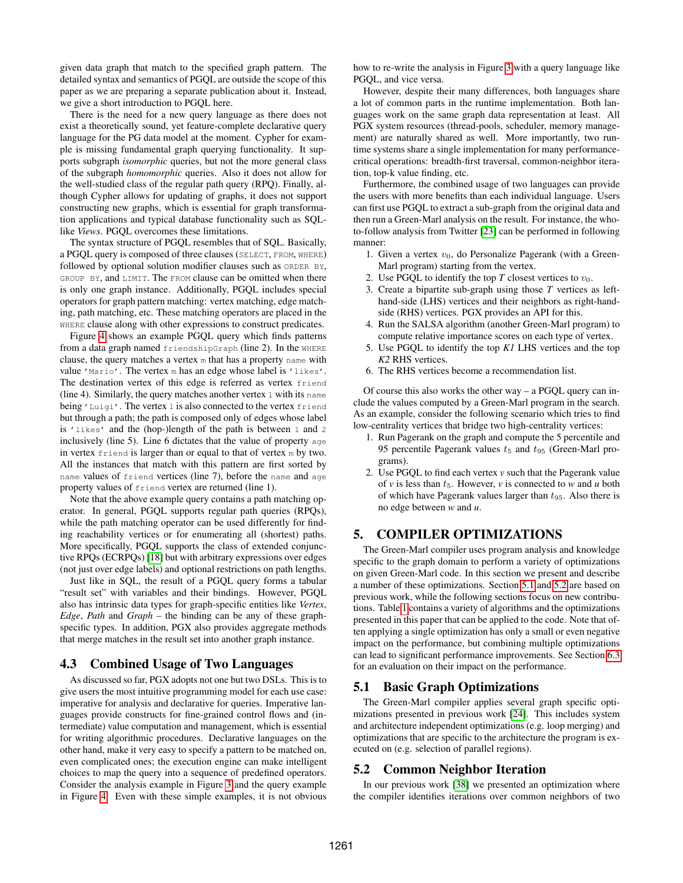given data graph that match to the specified graph pattern. The detailed syntax and semantics of PGQL are outside the scope of this paper as we are preparing a separate publication about it. Instead, we give a short introduction to PGQL here.

There is the need for a new query language as there does not exist a theoretically sound, yet feature-complete declarative query language for the PG data model at the moment. Cypher for example is missing fundamental graph querying functionality. It supports subgraph *isomorphic* queries, but not the more general class of the subgraph *homomorphic* queries. Also it does not allow for the well-studied class of the regular path query (RPQ). Finally, although Cypher allows for updating of graphs, it does not support constructing new graphs, which is essential for graph transformation applications and typical database functionality such as SQLlike *Views*. PGQL overcomes these limitations.

The syntax structure of PGQL resembles that of SQL. Basically, a PGQL query is composed of three clauses (SELECT, FROM, WHERE) followed by optional solution modifier clauses such as ORDER BY, GROUP BY, and LIMIT. The FROM clause can be omitted when there is only one graph instance. Additionally, PGQL includes special operators for graph pattern matching: vertex matching, edge matching, path matching, etc. These matching operators are placed in the WHERE clause along with other expressions to construct predicates.

Figure [4](#page-3-3) shows an example PGQL query which finds patterns from a data graph named friendshipGraph (line 2). In the WHERE clause, the query matches a vertex m that has a property name with value 'Mario'. The vertex m has an edge whose label is 'likes'. The destination vertex of this edge is referred as vertex friend (line 4). Similarly, the query matches another vertex  $\perp$  with its name being 'Luigi'. The vertex 1 is also connected to the vertex friend but through a path; the path is composed only of edges whose label is 'likes' and the (hop-)length of the path is between 1 and 2 inclusively (line 5). Line 6 dictates that the value of property age in vertex friend is larger than or equal to that of vertex m by two. All the instances that match with this pattern are first sorted by name values of friend vertices (line 7), before the name and age property values of friend vertex are returned (line 1).

Note that the above example query contains a path matching operator. In general, PGQL supports regular path queries (RPQs), while the path matching operator can be used differently for finding reachability vertices or for enumerating all (shortest) paths. More specifically, PGQL supports the class of extended conjunctive RPQs (ECRPQs) [\[18\]](#page-11-13) but with arbitrary expressions over edges (not just over edge labels) and optional restrictions on path lengths.

Just like in SQL, the result of a PGQL query forms a tabular "result set" with variables and their bindings. However, PGQL also has intrinsic data types for graph-specific entities like *Vertex*, *Edge*, *Path* and *Graph* – the binding can be any of these graphspecific types. In addition, PGX also provides aggregate methods that merge matches in the result set into another graph instance.

### 4.3 Combined Usage of Two Languages

As discussed so far, PGX adopts not one but two DSLs. This is to give users the most intuitive programming model for each use case: imperative for analysis and declarative for queries. Imperative languages provide constructs for fine-grained control flows and (intermediate) value computation and management, which is essential for writing algorithmic procedures. Declarative languages on the other hand, make it very easy to specify a pattern to be matched on, even complicated ones; the execution engine can make intelligent choices to map the query into a sequence of predefined operators. Consider the analysis example in Figure [3](#page-3-2) and the query example in Figure [4.](#page-3-3) Even with these simple examples, it is not obvious

how to re-write the analysis in Figure [3](#page-3-2) with a query language like PGQL, and vice versa.

However, despite their many differences, both languages share a lot of common parts in the runtime implementation. Both languages work on the same graph data representation at least. All PGX system resources (thread-pools, scheduler, memory management) are naturally shared as well. More importantly, two runtime systems share a single implementation for many performancecritical operations: breadth-first traversal, common-neighbor iteration, top-k value finding, etc.

Furthermore, the combined usage of two languages can provide the users with more benefits than each individual language. Users can first use PGQL to extract a sub-graph from the original data and then run a Green-Marl analysis on the result. For instance, the whoto-follow analysis from Twitter [\[23\]](#page-11-14) can be performed in following manner:

- 1. Given a vertex  $v_0$ , do Personalize Pagerank (with a Green-Marl program) starting from the vertex.
- 2. Use PGQL to identify the top *T* closest vertices to  $v_0$ .
- 3. Create a bipartite sub-graph using those *T* vertices as lefthand-side (LHS) vertices and their neighbors as right-handside (RHS) vertices. PGX provides an API for this.
- 4. Run the SALSA algorithm (another Green-Marl program) to compute relative importance scores on each type of vertex.
- 5. Use PGQL to identify the top *K1* LHS vertices and the top *K2* RHS vertices.
- 6. The RHS vertices become a recommendation list.

Of course this also works the other way – a PGQL query can include the values computed by a Green-Marl program in the search. As an example, consider the following scenario which tries to find low-centrality vertices that bridge two high-centrality vertices:

- 1. Run Pagerank on the graph and compute the 5 percentile and 95 percentile Pagerank values  $t_5$  and  $t_{95}$  (Green-Marl programs).
- 2. Use PGQL to find each vertex *v* such that the Pagerank value of  $\nu$  is less than  $t_5$ . However,  $\nu$  is connected to  $w$  and  $u$  both of which have Pagerank values larger than  $t_{95}$ . Also there is no edge between *w* and *u*.

### <span id="page-4-0"></span>5. COMPILER OPTIMIZATIONS

The Green-Marl compiler uses program analysis and knowledge specific to the graph domain to perform a variety of optimizations on given Green-Marl code. In this section we present and describe a number of these optimizations. Section [5.1](#page-4-1) and [5.2](#page-4-2) are based on previous work, while the following sections focus on new contributions. Table [1](#page-5-0) contains a variety of algorithms and the optimizations presented in this paper that can be applied to the code. Note that often applying a single optimization has only a small or even negative impact on the performance, but combining multiple optimizations can lead to significant performance improvements. See Section [6.3](#page-9-1) for an evaluation on their impact on the performance.

### <span id="page-4-1"></span>5.1 Basic Graph Optimizations

The Green-Marl compiler applies several graph specific optimizations presented in previous work [\[24\]](#page-11-7). This includes system and architecture independent optimizations (e.g. loop merging) and optimizations that are specific to the architecture the program is executed on (e.g. selection of parallel regions).

### <span id="page-4-2"></span>5.2 Common Neighbor Iteration

In our previous work [\[38\]](#page-11-15) we presented an optimization where the compiler identifies iterations over common neighbors of two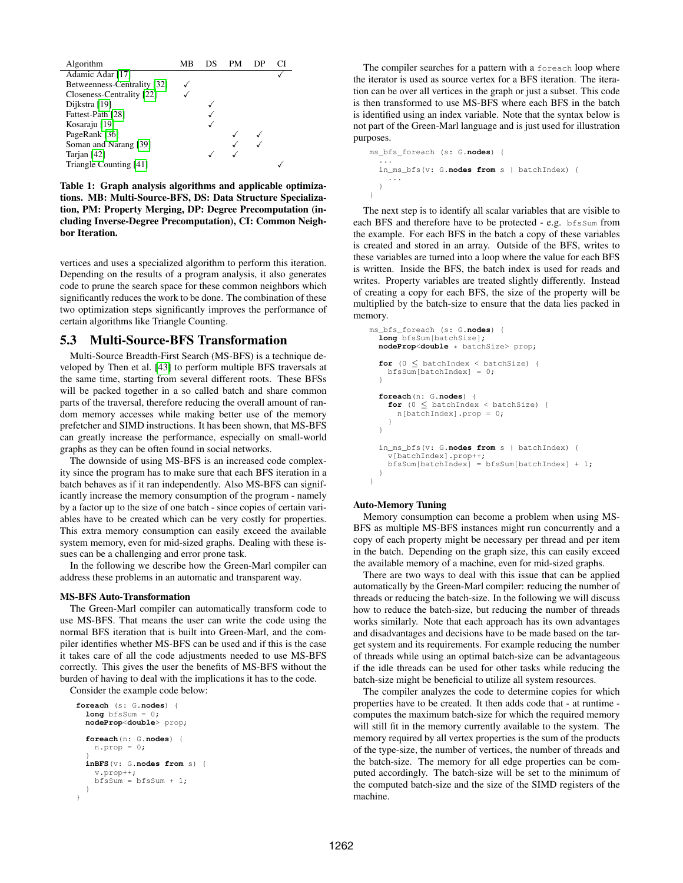| Algorithm                   | МB | DS | PM | DP | CΊ |
|-----------------------------|----|----|----|----|----|
| Adamic Adar [17]            |    |    |    |    |    |
| Betweenness-Centrality [32] |    |    |    |    |    |
| Closeness-Centrality [22]   |    |    |    |    |    |
| Dijkstra [19]               |    |    |    |    |    |
| Fattest-Path [28]           |    |    |    |    |    |
| Kosaraju [19]               |    |    |    |    |    |
| PageRank [36]               |    |    |    |    |    |
| Soman and Narang [39]       |    |    |    |    |    |
| Tarjan $[42]$               |    |    |    |    |    |
| Triangle Counting [41]      |    |    |    |    |    |

<span id="page-5-0"></span>Table 1: Graph analysis algorithms and applicable optimizations. MB: Multi-Source-BFS, DS: Data Structure Specialization, PM: Property Merging, DP: Degree Precomputation (including Inverse-Degree Precomputation), CI: Common Neighbor Iteration.

vertices and uses a specialized algorithm to perform this iteration. Depending on the results of a program analysis, it also generates code to prune the search space for these common neighbors which significantly reduces the work to be done. The combination of these two optimization steps significantly improves the performance of certain algorithms like Triangle Counting.

### 5.3 Multi-Source-BFS Transformation

Multi-Source Breadth-First Search (MS-BFS) is a technique developed by Then et al. [\[43\]](#page-11-25) to perform multiple BFS traversals at the same time, starting from several different roots. These BFSs will be packed together in a so called batch and share common parts of the traversal, therefore reducing the overall amount of random memory accesses while making better use of the memory prefetcher and SIMD instructions. It has been shown, that MS-BFS can greatly increase the performance, especially on small-world graphs as they can be often found in social networks.

The downside of using MS-BFS is an increased code complexity since the program has to make sure that each BFS iteration in a batch behaves as if it ran independently. Also MS-BFS can significantly increase the memory consumption of the program - namely by a factor up to the size of one batch - since copies of certain variables have to be created which can be very costly for properties. This extra memory consumption can easily exceed the available system memory, even for mid-sized graphs. Dealing with these issues can be a challenging and error prone task.

In the following we describe how the Green-Marl compiler can address these problems in an automatic and transparent way.

#### MS-BFS Auto-Transformation

The Green-Marl compiler can automatically transform code to use MS-BFS. That means the user can write the code using the normal BFS iteration that is built into Green-Marl, and the compiler identifies whether MS-BFS can be used and if this is the case it takes care of all the code adjustments needed to use MS-BFS correctly. This gives the user the benefits of MS-BFS without the burden of having to deal with the implications it has to the code.

Consider the example code below:

```
foreach (s: G.nodes) {
  long bfsSum = 0;
 nodeProp<double> prop;
  foreach(n: G.nodes) {
    n.prop = 0;
  }
 inBFS(v: G.nodes from s) {
    v.prop++;
bfsSum = bfsSum + 1;
  }
}
```
The compiler searches for a pattern with a foreach loop where the iterator is used as source vertex for a BFS iteration. The iteration can be over all vertices in the graph or just a subset. This code is then transformed to use MS-BFS where each BFS in the batch is identified using an index variable. Note that the syntax below is not part of the Green-Marl language and is just used for illustration purposes.

```
ms_bfs_foreach (s: G.nodes) {
  ...
  in_ms_bfs(v: G.nodes from s | batchIndex) {
    ...
  }
}
```
The next step is to identify all scalar variables that are visible to each BFS and therefore have to be protected - e.g. bfsSum from the example. For each BFS in the batch a copy of these variables is created and stored in an array. Outside of the BFS, writes to these variables are turned into a loop where the value for each BFS is written. Inside the BFS, the batch index is used for reads and writes. Property variables are treated slightly differently. Instead of creating a copy for each BFS, the size of the property will be multiplied by the batch-size to ensure that the data lies packed in memory.

```
ms_bfs_foreach (s: G.nodes) {
  long bfsSum[batchSize];
  nodeProp<double * batchSize> prop;
  for (0 ≤ batchIndex < batchSize) {
    bfshfshIndex1 = 0:
  }
  foreach(n: G.nodes) {
    for (0 < batchIndex < batchSize) {
     n[batchIndex].prop = 0;
    }
  }
  in_ms_bfs(v: G.nodes from s | batchIndex) {
    v[batchIndex].prop++;
    bfsSum[batchIndex] = bfsSum[batchIndex] + 1;
  }
}
```
#### Auto-Memory Tuning

Memory consumption can become a problem when using MS-BFS as multiple MS-BFS instances might run concurrently and a copy of each property might be necessary per thread and per item in the batch. Depending on the graph size, this can easily exceed the available memory of a machine, even for mid-sized graphs.

There are two ways to deal with this issue that can be applied automatically by the Green-Marl compiler: reducing the number of threads or reducing the batch-size. In the following we will discuss how to reduce the batch-size, but reducing the number of threads works similarly. Note that each approach has its own advantages and disadvantages and decisions have to be made based on the target system and its requirements. For example reducing the number of threads while using an optimal batch-size can be advantageous if the idle threads can be used for other tasks while reducing the batch-size might be beneficial to utilize all system resources.

The compiler analyzes the code to determine copies for which properties have to be created. It then adds code that - at runtime computes the maximum batch-size for which the required memory will still fit in the memory currently available to the system. The memory required by all vertex properties is the sum of the products of the type-size, the number of vertices, the number of threads and the batch-size. The memory for all edge properties can be computed accordingly. The batch-size will be set to the minimum of the computed batch-size and the size of the SIMD registers of the machine.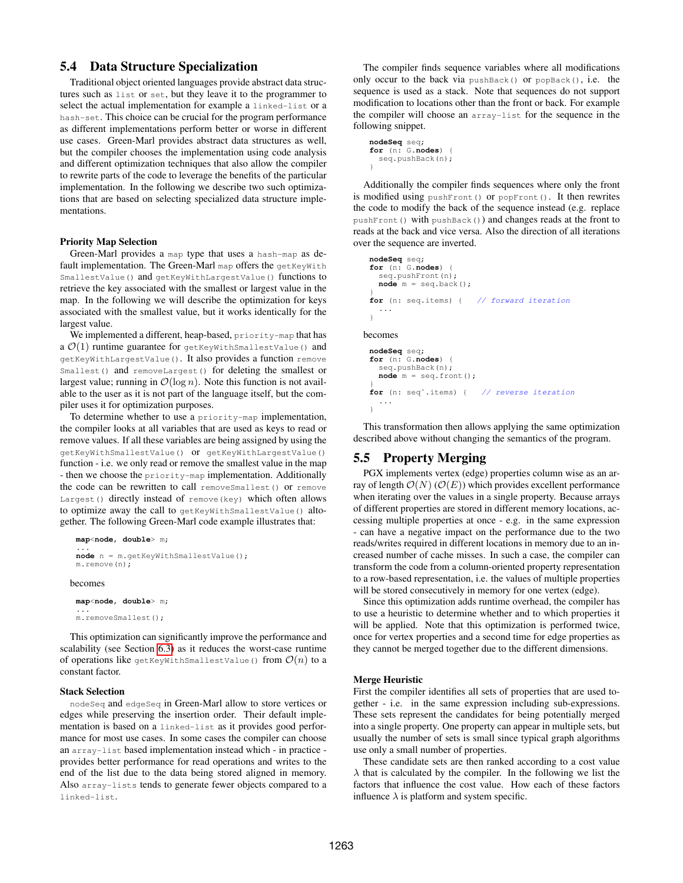### 5.4 Data Structure Specialization

Traditional object oriented languages provide abstract data structures such as list or set, but they leave it to the programmer to select the actual implementation for example a linked-list or a hash-set. This choice can be crucial for the program performance as different implementations perform better or worse in different use cases. Green-Marl provides abstract data structures as well, but the compiler chooses the implementation using code analysis and different optimization techniques that also allow the compiler to rewrite parts of the code to leverage the benefits of the particular implementation. In the following we describe two such optimizations that are based on selecting specialized data structure implementations.

#### Priority Map Selection

Green-Marl provides a map type that uses a hash-map as default implementation. The Green-Marl map offers the getKeyWith SmallestValue() and getKeyWithLargestValue() functions to retrieve the key associated with the smallest or largest value in the map. In the following we will describe the optimization for keys associated with the smallest value, but it works identically for the largest value.

We implemented a different, heap-based, priority-map that has a  $\mathcal{O}(1)$  runtime guarantee for getKeyWithSmallestValue() and getKeyWithLargestValue(). It also provides a function remove Smallest() and removeLargest() for deleting the smallest or largest value; running in  $\mathcal{O}(\log n)$ . Note this function is not available to the user as it is not part of the language itself, but the compiler uses it for optimization purposes.

To determine whether to use a priority-map implementation, the compiler looks at all variables that are used as keys to read or remove values. If all these variables are being assigned by using the getKeyWithSmallestValue() or getKeyWithLargestValue() function - i.e. we only read or remove the smallest value in the map - then we choose the priority-map implementation. Additionally the code can be rewritten to call removeSmallest() or remove Largest() directly instead of remove(key) which often allows to optimize away the call to getKeyWithSmallestValue() altogether. The following Green-Marl code example illustrates that:

```
map<node, double> m;
...
node n = m.getKeyWithSmallestValue();
m.remove(n);
```
becomes

```
map<node, double> m;
...
m.removeSmallest();
```
This optimization can significantly improve the performance and scalability (see Section [6.3\)](#page-9-1) as it reduces the worst-case runtime of operations like getKeyWithSmallestValue() from  $\mathcal{O}(n)$  to a constant factor.

#### Stack Selection

nodeSeq and edgeSeq in Green-Marl allow to store vertices or edges while preserving the insertion order. Their default implementation is based on a linked-list as it provides good performance for most use cases. In some cases the compiler can choose an array-list based implementation instead which - in practice provides better performance for read operations and writes to the end of the list due to the data being stored aligned in memory. Also array-lists tends to generate fewer objects compared to a linked-list.

The compiler finds sequence variables where all modifications only occur to the back via pushBack() or popBack(), i.e. the sequence is used as a stack. Note that sequences do not support modification to locations other than the front or back. For example the compiler will choose an array-list for the sequence in the following snippet.

```
nodeSeq seq;
for (n: G.nodes) {
  seq.pushBack(n);
}
```
Additionally the compiler finds sequences where only the front is modified using pushFront() or popFront(). It then rewrites the code to modify the back of the sequence instead (e.g. replace pushFront() with pushBack()) and changes reads at the front to reads at the back and vice versa. Also the direction of all iterations over the sequence are inverted.

```
nodeSeq seq;
for (n: G.nodes) {
  seq.pushFront(n);
  node m = seq.back();
}
for (n: seq.items) { // forward iteration
  ...
\lambda
```
becomes

```
nodeSeq seq;
for (n: G.nodes) {
  seq.pushBack(n);
  node m = seq.front();
}
for (n: seqˆ.items) { // reverse iteration
  ...
}
```
This transformation then allows applying the same optimization described above without changing the semantics of the program.

### 5.5 Property Merging

PGX implements vertex (edge) properties column wise as an array of length  $\mathcal{O}(N)$  ( $\mathcal{O}(E)$ ) which provides excellent performance when iterating over the values in a single property. Because arrays of different properties are stored in different memory locations, accessing multiple properties at once - e.g. in the same expression - can have a negative impact on the performance due to the two reads/writes required in different locations in memory due to an increased number of cache misses. In such a case, the compiler can transform the code from a column-oriented property representation to a row-based representation, i.e. the values of multiple properties will be stored consecutively in memory for one vertex (edge).

Since this optimization adds runtime overhead, the compiler has to use a heuristic to determine whether and to which properties it will be applied. Note that this optimization is performed twice, once for vertex properties and a second time for edge properties as they cannot be merged together due to the different dimensions.

#### Merge Heuristic

First the compiler identifies all sets of properties that are used together - i.e. in the same expression including sub-expressions. These sets represent the candidates for being potentially merged into a single property. One property can appear in multiple sets, but usually the number of sets is small since typical graph algorithms use only a small number of properties.

These candidate sets are then ranked according to a cost value  $\lambda$  that is calculated by the compiler. In the following we list the factors that influence the cost value. How each of these factors influence  $\lambda$  is platform and system specific.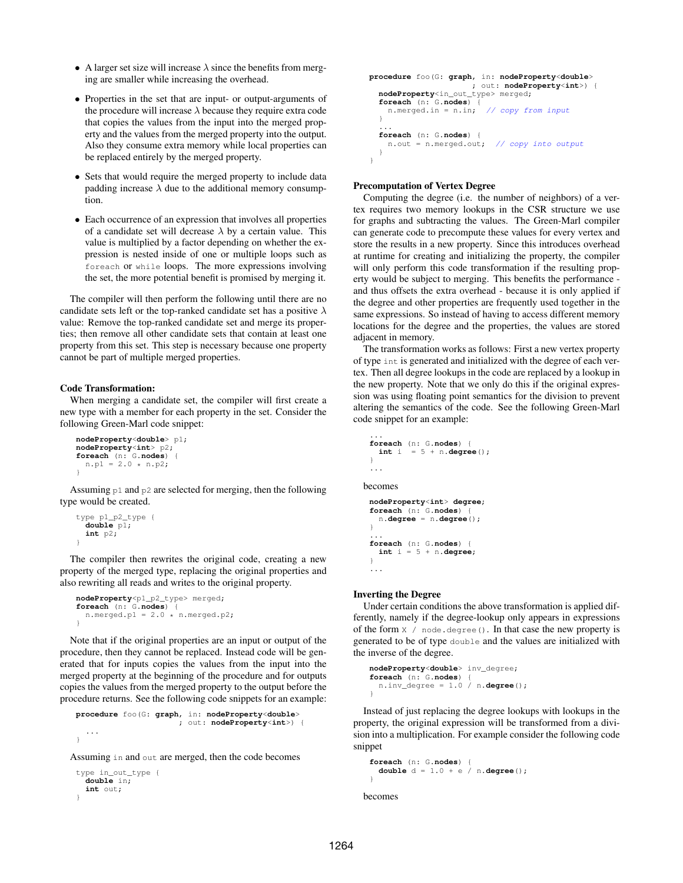- A larger set size will increase  $\lambda$  since the benefits from merging are smaller while increasing the overhead.
- Properties in the set that are input- or output-arguments of the procedure will increase  $\lambda$  because they require extra code that copies the values from the input into the merged property and the values from the merged property into the output. Also they consume extra memory while local properties can be replaced entirely by the merged property.
- Sets that would require the merged property to include data padding increase  $\lambda$  due to the additional memory consumption.
- Each occurrence of an expression that involves all properties of a candidate set will decrease  $\lambda$  by a certain value. This value is multiplied by a factor depending on whether the expression is nested inside of one or multiple loops such as foreach or while loops. The more expressions involving the set, the more potential benefit is promised by merging it.

The compiler will then perform the following until there are no candidate sets left or the top-ranked candidate set has a positive  $\lambda$ value: Remove the top-ranked candidate set and merge its properties; then remove all other candidate sets that contain at least one property from this set. This step is necessary because one property cannot be part of multiple merged properties.

#### Code Transformation:

When merging a candidate set, the compiler will first create a new type with a member for each property in the set. Consider the following Green-Marl code snippet:

```
nodeProperty<double> p1;
nodeProperty<int> p2;
foreach (n: G.nodes) {
  n.p1 = 2.0 * n.p2;\mathbf{1}
```
Assuming  $p1$  and  $p2$  are selected for merging, then the following type would be created.

```
type p1_p2_type {
  double p1;
  int p2;
}
```
The compiler then rewrites the original code, creating a new property of the merged type, replacing the original properties and also rewriting all reads and writes to the original property.

```
nodeProperty<p1_p2_type> merged;
foreach (n: G.nodes) {
 n.merged.p1 = 2.0 \times n.merged.p2;
}
```
Note that if the original properties are an input or output of the procedure, then they cannot be replaced. Instead code will be generated that for inputs copies the values from the input into the merged property at the beginning of the procedure and for outputs copies the values from the merged property to the output before the procedure returns. See the following code snippets for an example:

```
procedure foo(G: graph, in: nodeProperty<double>
                      ; out: nodeProperty<int>) {
  ...
}
```
Assuming in and out are merged, then the code becomes

```
type in_out_type {
double in;
  int out;
}
```

```
procedure foo(G: graph, in: nodeProperty<double>
                     ; out: nodeProperty<int>) {
  nodeProperty<in_out_type> merged;
  foreach (n: G.nodes) {
    n.merged.in = n.in; // copy from input
  }
  ...
  foreach (n: G.nodes) {
    n.out = n.merged.out; // copy into output
  }
}
```
#### Precomputation of Vertex Degree

Computing the degree (i.e. the number of neighbors) of a vertex requires two memory lookups in the CSR structure we use for graphs and subtracting the values. The Green-Marl compiler can generate code to precompute these values for every vertex and store the results in a new property. Since this introduces overhead at runtime for creating and initializing the property, the compiler will only perform this code transformation if the resulting property would be subject to merging. This benefits the performance and thus offsets the extra overhead - because it is only applied if the degree and other properties are frequently used together in the same expressions. So instead of having to access different memory locations for the degree and the properties, the values are stored adjacent in memory.

The transformation works as follows: First a new vertex property of type int is generated and initialized with the degree of each vertex. Then all degree lookups in the code are replaced by a lookup in the new property. Note that we only do this if the original expression was using floating point semantics for the division to prevent altering the semantics of the code. See the following Green-Marl code snippet for an example:

```
...
 foreach (n: G.nodes) {
   int i = 5 + n.degree();
 }
 ...
becomes
 nodeProperty<int> degree;
 foreach (n: G.nodes) {
   n.degree = n.degree();
 }
 ...
foreach (n: G.nodes) {
   int i = 5 + n.degree;
 }
 ...
```
#### Inverting the Degree

Under certain conditions the above transformation is applied differently, namely if the degree-lookup only appears in expressions of the form  $X /$  node.degree(). In that case the new property is generated to be of type double and the values are initialized with the inverse of the degree.

```
nodeProperty<double> inv_degree;
foreach (n: G.nodes) {
 n.inv_degree = 1.0 / n.degree();
}
```
Instead of just replacing the degree lookups with lookups in the property, the original expression will be transformed from a division into a multiplication. For example consider the following code snippet

```
foreach (n: G.nodes) {
  double d = 1.0 + e / n.degree();
\overline{1}
```
becomes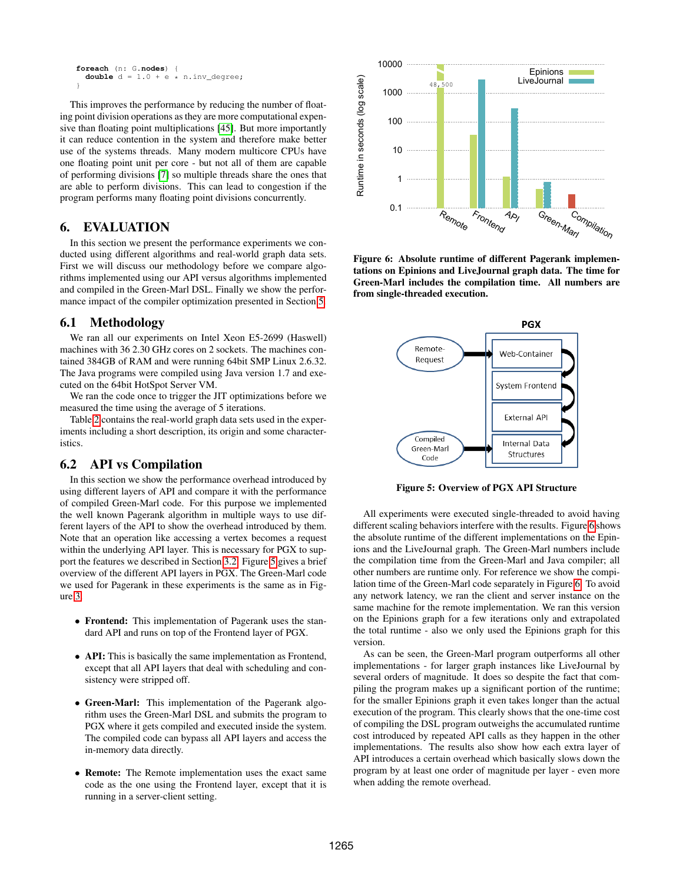```
foreach (n: G.nodes) {
  double d = 1.0 + e * n.inv degree;
}
```
This improves the performance by reducing the number of floating point division operations as they are more computational expensive than floating point multiplications [\[45\]](#page-11-26). But more importantly it can reduce contention in the system and therefore make better use of the systems threads. Many modern multicore CPUs have one floating point unit per core - but not all of them are capable of performing divisions [\[7\]](#page-10-13) so multiple threads share the ones that are able to perform divisions. This can lead to congestion if the program performs many floating point divisions concurrently.

# <span id="page-8-0"></span>6. EVALUATION

In this section we present the performance experiments we conducted using different algorithms and real-world graph data sets. First we will discuss our methodology before we compare algorithms implemented using our API versus algorithms implemented and compiled in the Green-Marl DSL. Finally we show the performance impact of the compiler optimization presented in Section [5.](#page-4-0)

### 6.1 Methodology

We ran all our experiments on Intel Xeon E5-2699 (Haswell) machines with 36 2.30 GHz cores on 2 sockets. The machines contained 384GB of RAM and were running 64bit SMP Linux 2.6.32. The Java programs were compiled using Java version 1.7 and executed on the 64bit HotSpot Server VM.

We ran the code once to trigger the JIT optimizations before we measured the time using the average of 5 iterations.

Table [2](#page-9-2) contains the real-world graph data sets used in the experiments including a short description, its origin and some characteristics.

### 6.2 API vs Compilation

In this section we show the performance overhead introduced by using different layers of API and compare it with the performance of compiled Green-Marl code. For this purpose we implemented the well known Pagerank algorithm in multiple ways to use different layers of the API to show the overhead introduced by them. Note that an operation like accessing a vertex becomes a request within the underlying API layer. This is necessary for PGX to support the features we described in Section [3.2.](#page-2-2) Figure [5](#page-8-1) gives a brief overview of the different API layers in PGX. The Green-Marl code we used for Pagerank in these experiments is the same as in Figure [3.](#page-3-2)

- Frontend: This implementation of Pagerank uses the standard API and runs on top of the Frontend layer of PGX.
- API: This is basically the same implementation as Frontend, except that all API layers that deal with scheduling and consistency were stripped off.
- Green-Marl: This implementation of the Pagerank algorithm uses the Green-Marl DSL and submits the program to PGX where it gets compiled and executed inside the system. The compiled code can bypass all API layers and access the in-memory data directly.
- Remote: The Remote implementation uses the exact same code as the one using the Frontend layer, except that it is running in a server-client setting.



<span id="page-8-2"></span>Figure 6: Absolute runtime of different Pagerank implementations on Epinions and LiveJournal graph data. The time for Green-Marl includes the compilation time. All numbers are from single-threaded execution.



<span id="page-8-1"></span>Figure 5: Overview of PGX API Structure

All experiments were executed single-threaded to avoid having different scaling behaviors interfere with the results. Figure [6](#page-8-2) shows the absolute runtime of the different implementations on the Epinions and the LiveJournal graph. The Green-Marl numbers include the compilation time from the Green-Marl and Java compiler; all other numbers are runtime only. For reference we show the compilation time of the Green-Marl code separately in Figure [6.](#page-8-2) To avoid any network latency, we ran the client and server instance on the same machine for the remote implementation. We ran this version on the Epinions graph for a few iterations only and extrapolated the total runtime - also we only used the Epinions graph for this version.

As can be seen, the Green-Marl program outperforms all other implementations - for larger graph instances like LiveJournal by several orders of magnitude. It does so despite the fact that compiling the program makes up a significant portion of the runtime; for the smaller Epinions graph it even takes longer than the actual execution of the program. This clearly shows that the one-time cost of compiling the DSL program outweighs the accumulated runtime cost introduced by repeated API calls as they happen in the other implementations. The results also show how each extra layer of API introduces a certain overhead which basically slows down the program by at least one order of magnitude per layer - even more when adding the remote overhead.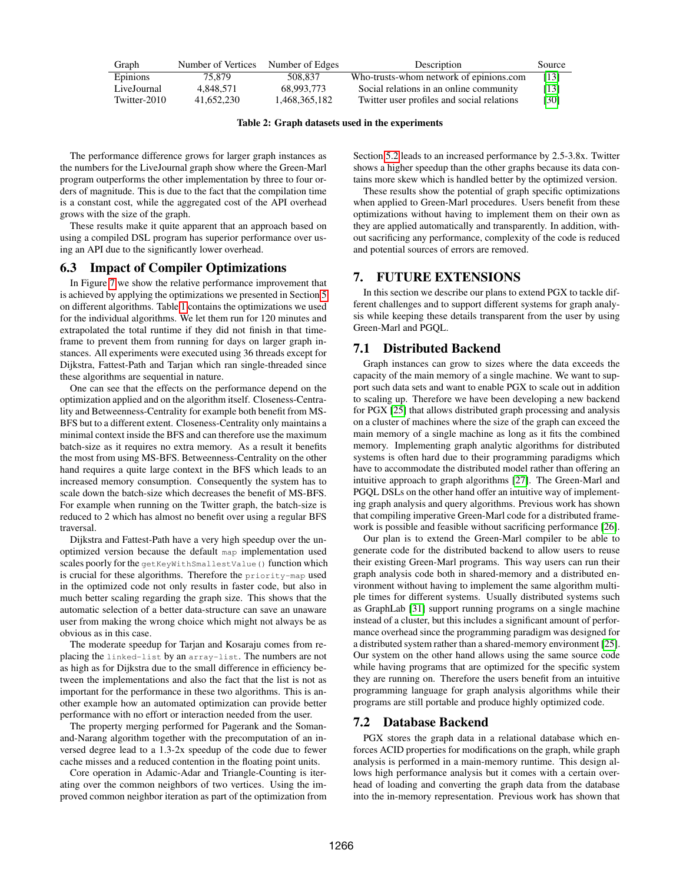| Graph        | Number of Vertices | Number of Edges | Description                                | Source |
|--------------|--------------------|-----------------|--------------------------------------------|--------|
| Epinions     | 75.879             | 508.837         | Who-trusts-whom network of epinions.com    | [13]   |
| LiveJournal  | 4.848.571          | 68.993.773      | Social relations in an online community    | [13]   |
| Twitter-2010 | 41,652,230         | 1.468.365.182   | Twitter user profiles and social relations | [30]   |

<span id="page-9-2"></span>Table 2: Graph datasets used in the experiments

The performance difference grows for larger graph instances as the numbers for the LiveJournal graph show where the Green-Marl program outperforms the other implementation by three to four orders of magnitude. This is due to the fact that the compilation time is a constant cost, while the aggregated cost of the API overhead grows with the size of the graph.

These results make it quite apparent that an approach based on using a compiled DSL program has superior performance over using an API due to the significantly lower overhead.

### <span id="page-9-1"></span>6.3 Impact of Compiler Optimizations

In Figure [7](#page-10-14) we show the relative performance improvement that is achieved by applying the optimizations we presented in Section [5](#page-4-0) on different algorithms. Table [1](#page-5-0) contains the optimizations we used for the individual algorithms. We let them run for 120 minutes and extrapolated the total runtime if they did not finish in that timeframe to prevent them from running for days on larger graph instances. All experiments were executed using 36 threads except for Dijkstra, Fattest-Path and Tarjan which ran single-threaded since these algorithms are sequential in nature.

One can see that the effects on the performance depend on the optimization applied and on the algorithm itself. Closeness-Centrality and Betweenness-Centrality for example both benefit from MS-BFS but to a different extent. Closeness-Centrality only maintains a minimal context inside the BFS and can therefore use the maximum batch-size as it requires no extra memory. As a result it benefits the most from using MS-BFS. Betweenness-Centrality on the other hand requires a quite large context in the BFS which leads to an increased memory consumption. Consequently the system has to scale down the batch-size which decreases the benefit of MS-BFS. For example when running on the Twitter graph, the batch-size is reduced to 2 which has almost no benefit over using a regular BFS traversal.

Dijkstra and Fattest-Path have a very high speedup over the unoptimized version because the default map implementation used scales poorly for the getKeyWithSmallestValue() function which is crucial for these algorithms. Therefore the priority-map used in the optimized code not only results in faster code, but also in much better scaling regarding the graph size. This shows that the automatic selection of a better data-structure can save an unaware user from making the wrong choice which might not always be as obvious as in this case.

The moderate speedup for Tarjan and Kosaraju comes from replacing the linked-list by an array-list. The numbers are not as high as for Dijkstra due to the small difference in efficiency between the implementations and also the fact that the list is not as important for the performance in these two algorithms. This is another example how an automated optimization can provide better performance with no effort or interaction needed from the user.

The property merging performed for Pagerank and the Somanand-Narang algorithm together with the precomputation of an inversed degree lead to a 1.3-2x speedup of the code due to fewer cache misses and a reduced contention in the floating point units.

Core operation in Adamic-Adar and Triangle-Counting is iterating over the common neighbors of two vertices. Using the improved common neighbor iteration as part of the optimization from Section [5.2](#page-4-2) leads to an increased performance by 2.5-3.8x. Twitter shows a higher speedup than the other graphs because its data contains more skew which is handled better by the optimized version.

These results show the potential of graph specific optimizations when applied to Green-Marl procedures. Users benefit from these optimizations without having to implement them on their own as they are applied automatically and transparently. In addition, without sacrificing any performance, complexity of the code is reduced and potential sources of errors are removed.

# <span id="page-9-0"></span>7. FUTURE EXTENSIONS

In this section we describe our plans to extend PGX to tackle different challenges and to support different systems for graph analysis while keeping these details transparent from the user by using Green-Marl and PGQL.

### 7.1 Distributed Backend

Graph instances can grow to sizes where the data exceeds the capacity of the main memory of a single machine. We want to support such data sets and want to enable PGX to scale out in addition to scaling up. Therefore we have been developing a new backend for PGX [\[25\]](#page-11-28) that allows distributed graph processing and analysis on a cluster of machines where the size of the graph can exceed the main memory of a single machine as long as it fits the combined memory. Implementing graph analytic algorithms for distributed systems is often hard due to their programming paradigms which have to accommodate the distributed model rather than offering an intuitive approach to graph algorithms [\[27\]](#page-11-29). The Green-Marl and PGQL DSLs on the other hand offer an intuitive way of implementing graph analysis and query algorithms. Previous work has shown that compiling imperative Green-Marl code for a distributed framework is possible and feasible without sacrificing performance [\[26\]](#page-11-30).

Our plan is to extend the Green-Marl compiler to be able to generate code for the distributed backend to allow users to reuse their existing Green-Marl programs. This way users can run their graph analysis code both in shared-memory and a distributed environment without having to implement the same algorithm multiple times for different systems. Usually distributed systems such as GraphLab [\[31\]](#page-11-4) support running programs on a single machine instead of a cluster, but this includes a significant amount of performance overhead since the programming paradigm was designed for a distributed system rather than a shared-memory environment [\[25\]](#page-11-28). Our system on the other hand allows using the same source code while having programs that are optimized for the specific system they are running on. Therefore the users benefit from an intuitive programming language for graph analysis algorithms while their programs are still portable and produce highly optimized code.

### 7.2 Database Backend

PGX stores the graph data in a relational database which enforces ACID properties for modifications on the graph, while graph analysis is performed in a main-memory runtime. This design allows high performance analysis but it comes with a certain overhead of loading and converting the graph data from the database into the in-memory representation. Previous work has shown that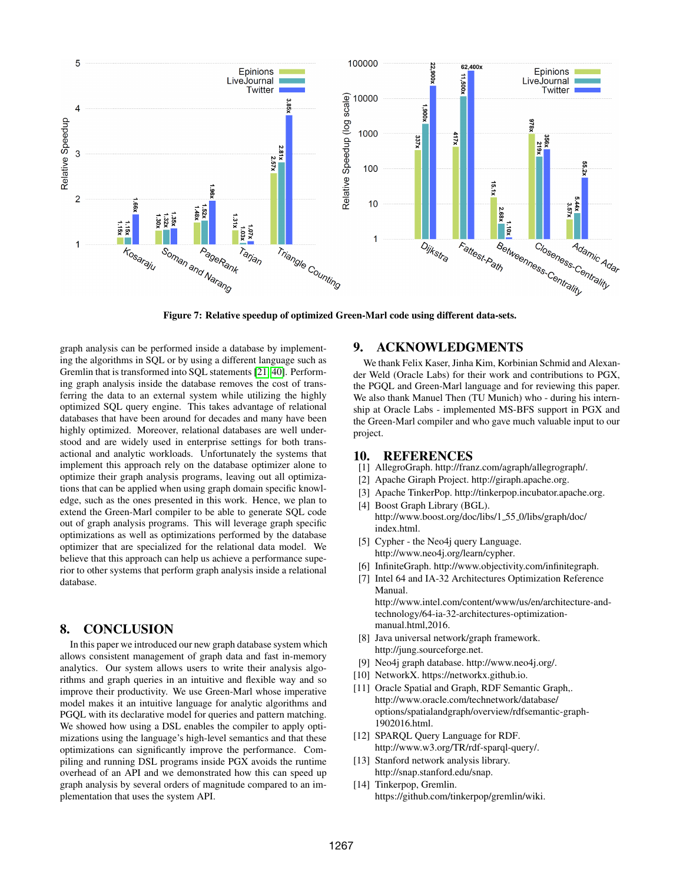

<span id="page-10-14"></span>Figure 7: Relative speedup of optimized Green-Marl code using different data-sets.

graph analysis can be performed inside a database by implementing the algorithms in SQL or by using a different language such as Gremlin that is transformed into SQL statements [\[21,](#page-11-10) [40\]](#page-11-11). Performing graph analysis inside the database removes the cost of transferring the data to an external system while utilizing the highly optimized SQL query engine. This takes advantage of relational databases that have been around for decades and many have been highly optimized. Moreover, relational databases are well understood and are widely used in enterprise settings for both transactional and analytic workloads. Unfortunately the systems that implement this approach rely on the database optimizer alone to optimize their graph analysis programs, leaving out all optimizations that can be applied when using graph domain specific knowledge, such as the ones presented in this work. Hence, we plan to extend the Green-Marl compiler to be able to generate SQL code out of graph analysis programs. This will leverage graph specific optimizations as well as optimizations performed by the database optimizer that are specialized for the relational data model. We believe that this approach can help us achieve a performance superior to other systems that perform graph analysis inside a relational database.

# 8. CONCLUSION

In this paper we introduced our new graph database system which allows consistent management of graph data and fast in-memory analytics. Our system allows users to write their analysis algorithms and graph queries in an intuitive and flexible way and so improve their productivity. We use Green-Marl whose imperative model makes it an intuitive language for analytic algorithms and PGQL with its declarative model for queries and pattern matching. We showed how using a DSL enables the compiler to apply optimizations using the language's high-level semantics and that these optimizations can significantly improve the performance. Compiling and running DSL programs inside PGX avoids the runtime overhead of an API and we demonstrated how this can speed up graph analysis by several orders of magnitude compared to an implementation that uses the system API.

### 9. ACKNOWLEDGMENTS

We thank Felix Kaser, Jinha Kim, Korbinian Schmid and Alexander Weld (Oracle Labs) for their work and contributions to PGX, the PGQL and Green-Marl language and for reviewing this paper. We also thank Manuel Then (TU Munich) who - during his internship at Oracle Labs - implemented MS-BFS support in PGX and the Green-Marl compiler and who gave much valuable input to our project.

### 10. REFERENCES

- <span id="page-10-3"></span>[1] AllegroGraph. http://franz.com/agraph/allegrograph/.
- <span id="page-10-2"></span>[2] Apache Giraph Project. http://giraph.apache.org.
- <span id="page-10-12"></span>[3] Apache TinkerPop. http://tinkerpop.incubator.apache.org.
- <span id="page-10-11"></span>[4] Boost Graph Library (BGL). http://www.boost.org/doc/libs/1 55 0/libs/graph/doc/ index.html.
- <span id="page-10-5"></span>[5] Cypher - the Neo4j query Language. http://www.neo4j.org/learn/cypher.
- <span id="page-10-0"></span>[6] InfiniteGraph. http://www.objectivity.com/infinitegraph.
- <span id="page-10-13"></span>[7] Intel 64 and IA-32 Architectures Optimization Reference Manual. http://www.intel.com/content/www/us/en/architecture-andtechnology/64-ia-32-architectures-optimizationmanual.html,2016.
- <span id="page-10-9"></span>[8] Java universal network/graph framework. http://jung.sourceforge.net.
- <span id="page-10-1"></span>[9] Neo4j graph database. http://www.neo4j.org/.
- <span id="page-10-8"></span>[10] NetworkX. https://networkx.github.io.
- <span id="page-10-4"></span>[11] Oracle Spatial and Graph, RDF Semantic Graph,. http://www.oracle.com/technetwork/database/ options/spatialandgraph/overview/rdfsemantic-graph-1902016.html.
- <span id="page-10-6"></span>[12] SPARQL Query Language for RDF. http://www.w3.org/TR/rdf-sparql-query/.
- <span id="page-10-10"></span>[13] Stanford network analysis library. http://snap.stanford.edu/snap.
- <span id="page-10-7"></span>[14] Tinkerpop, Gremlin. https://github.com/tinkerpop/gremlin/wiki.